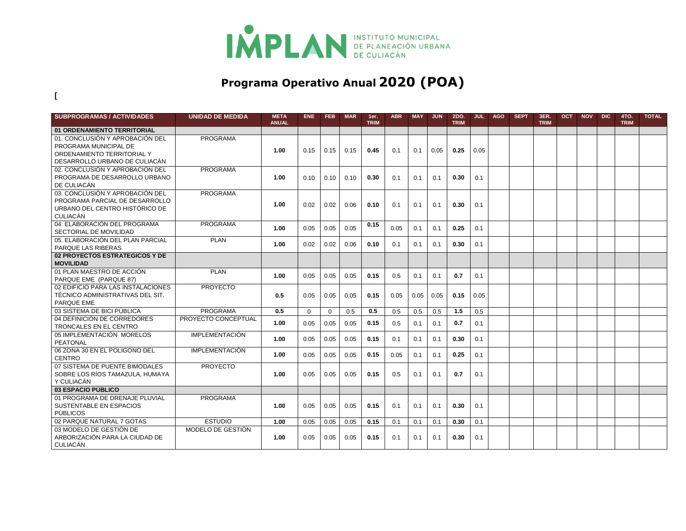

## **Programa Operativo Anual 2020 (POA)**

**[**

| <b>SUBPROGRAMAS / ACTIVIDADES</b>  | <b>UNIDAD DE MEDIDA</b> | <b>META</b><br><b>ANUAL</b> | ENE.     | FEB         | <b>MAR</b> | 1er.<br><b>TRIM</b> | <b>ABR</b> | <b>MAY</b> | <b>JUN</b> | 2DO.<br><b>TRIM</b> | <b>JUL</b>     | <b>AGO</b> | <b>SEPT</b> | 3ER.<br><b>TRIM</b> | <b>OCT</b> | <b>NOV</b> | <b>DIC</b> | 4TO.<br><b>TRIM</b> | <b>TOTAL</b> |
|------------------------------------|-------------------------|-----------------------------|----------|-------------|------------|---------------------|------------|------------|------------|---------------------|----------------|------------|-------------|---------------------|------------|------------|------------|---------------------|--------------|
| 01 ORDENAMIENTO TERRITORIAL        |                         |                             |          |             |            |                     |            |            |            |                     |                |            |             |                     |            |            |            |                     |              |
| 01. CONCLUSIÓN Y APROBACIÓN DEL    | <b>PROGRAMA</b>         |                             |          |             |            |                     |            |            |            |                     |                |            |             |                     |            |            |            |                     |              |
| PROGRAMA MUNICIPAL DE              |                         | 1.00                        | 0.15     | 0.15        | 0.15       | 0.45                | 0.1        | 0.1        | 0.05       | 0.25                | 0.05           |            |             |                     |            |            |            |                     |              |
| ORDENAMIENTO TERRITORIAL Y         |                         |                             |          |             |            |                     |            |            |            |                     |                |            |             |                     |            |            |            |                     |              |
| DESARROLLO URBANO DE CULIACÁN      |                         |                             |          |             |            |                     |            |            |            |                     |                |            |             |                     |            |            |            |                     |              |
| 02. CONCLUSIÓN Y APROBACIÓN DEL    | <b>PROGRAMA</b>         |                             |          |             |            |                     |            |            |            |                     |                |            |             |                     |            |            |            |                     |              |
| PROGRAMA DE DESARROLLO URBANO      |                         | 1.00                        | 0.10     | 0.10        | 0.10       | 0.30                | 0.1        | 0.1        | 0.1        | 0.30                | 0 <sub>1</sub> |            |             |                     |            |            |            |                     |              |
| DE CULIACÁN                        |                         |                             |          |             |            |                     |            |            |            |                     |                |            |             |                     |            |            |            |                     |              |
| 03. CONCLUSIÓN Y APROBACIÓN DEL    | <b>PROGRAMA</b>         |                             |          |             |            |                     |            |            |            |                     |                |            |             |                     |            |            |            |                     |              |
| PROGRAMA PARCIAL DE DESARROLLO     |                         | 1.00                        | 0.02     | 0.02        | 0.06       | 0.10                | 0.1        | 0.1        | 0.1        | 0.30                | 0.1            |            |             |                     |            |            |            |                     |              |
| URBANO DEL CENTRO HISTÓRICO DE     |                         |                             |          |             |            |                     |            |            |            |                     |                |            |             |                     |            |            |            |                     |              |
| CULIACÁN                           |                         |                             |          |             |            |                     |            |            |            |                     |                |            |             |                     |            |            |            |                     |              |
| 04. ELABORACIÓN DEL PROGRAMA       | <b>PROGRAMA</b>         | 1.00                        | 0.05     | 0.05        | 0.05       | 0.15                | 0.05       | 0.1        | 0.1        | 0.25                | 0.1            |            |             |                     |            |            |            |                     |              |
| SECTORIAL DE MOVILIDAD             |                         |                             |          |             |            |                     |            |            |            |                     |                |            |             |                     |            |            |            |                     |              |
| 05. ELABORACIÓN DEL PLAN PARCIAL   | <b>PLAN</b>             | 1.00                        | 0.02     | 0.02        | 0.06       | 0.10                | 0.1        | 0.1        | 0.1        | 0.30                | 0.1            |            |             |                     |            |            |            |                     |              |
| PARQUE LAS RIBERAS                 |                         |                             |          |             |            |                     |            |            |            |                     |                |            |             |                     |            |            |            |                     |              |
| 02 PROYECTOS ESTRATEGICOS Y DE     |                         |                             |          |             |            |                     |            |            |            |                     |                |            |             |                     |            |            |            |                     |              |
| <b>MOVILIDAD</b>                   |                         |                             |          |             |            |                     |            |            |            |                     |                |            |             |                     |            |            |            |                     |              |
| 01 PLAN MAESTRO DE ACCIÓN          | <b>PLAN</b>             | 1.00                        | 0.05     | 0.05        | 0.05       | 0.15                | 0.5        | 0.1        | 0.1        | 0.7                 | 0.1            |            |             |                     |            |            |            |                     |              |
| PARQUE EME (PARQUE 87)             |                         |                             |          |             |            |                     |            |            |            |                     |                |            |             |                     |            |            |            |                     |              |
| 02 EDIFICIO PARA LAS INSTALACIONES | <b>PROYECTO</b>         |                             |          |             |            |                     |            |            |            |                     |                |            |             |                     |            |            |            |                     |              |
| TÉCNICO ADMINISTRATIVAS DEL SIT.   |                         | 0.5                         | 0.05     | 0.05        | 0.05       | 0.15                | 0.05       | 0.05       | 0.05       | 0.15                | 0.05           |            |             |                     |            |            |            |                     |              |
| PARQUE EME                         |                         |                             |          |             |            |                     |            |            |            |                     |                |            |             |                     |            |            |            |                     |              |
| 03 SISTEMA DE BICI PÚBLICA         | <b>PROGRAMA</b>         | 0.5                         | $\Omega$ | $\mathbf 0$ | 0.5        | 0.5                 | 0.5        | 0.5        | 0.5        | 1.5                 | 0.5            |            |             |                     |            |            |            |                     |              |
| 04 DEFINICIÓN DE CORREDORES        | PROYECTO CONCEPTUAL     | 1.00                        | 0.05     | 0.05        | 0.05       | 0.15                | 0.5        | 0.1        | 0.1        | 0.7                 | 0.1            |            |             |                     |            |            |            |                     |              |
| TRONCALES EN EL CENTRO             |                         |                             |          |             |            |                     |            |            |            |                     |                |            |             |                     |            |            |            |                     |              |
| 05 IMPLEMENTACIÓN MORELOS          | <b>IMPLEMENTACIÓN</b>   | 1.00                        | 0.05     | 0.05        | 0.05       | 0.15                | 0.1        | 0.1        | 0.1        | 0.30                | 0.1            |            |             |                     |            |            |            |                     |              |
| PEATONAL                           |                         |                             |          |             |            |                     |            |            |            |                     |                |            |             |                     |            |            |            |                     |              |
| 06 ZONA 30 EN EL POLIGONO DEL      | <b>IMPLEMENTACIÓN</b>   | 1.00                        | 0.05     | 0.05        | 0.05       | 0.15                | 0.05       | 0.1        | 0.1        | 0.25                | 0.1            |            |             |                     |            |            |            |                     |              |
| <b>CENTRO</b>                      |                         |                             |          |             |            |                     |            |            |            |                     |                |            |             |                     |            |            |            |                     |              |
| 07 SISTEMA DE PUENTE BIMODALES     | <b>PROYECTO</b>         |                             |          |             |            |                     |            |            |            |                     |                |            |             |                     |            |            |            |                     |              |
| SOBRE LOS RÍOS TAMAZULA, HUMAYA    |                         | 1.00                        | 0.05     | 0.05        | 0.05       | 0.15                | 0.5        | 0.1        | 0.1        | 0.7                 | 0.1            |            |             |                     |            |            |            |                     |              |
| Y CULIACÁN                         |                         |                             |          |             |            |                     |            |            |            |                     |                |            |             |                     |            |            |            |                     |              |
| <b>03 ESPACIO PÚBLICO</b>          |                         |                             |          |             |            |                     |            |            |            |                     |                |            |             |                     |            |            |            |                     |              |
| 01 PROGRAMA DE DRENAJE PLUVIAL     | <b>PROGRAMA</b>         |                             |          |             |            |                     |            |            |            |                     |                |            |             |                     |            |            |            |                     |              |
| SUSTENTABLE EN ESPACIOS            |                         | 1.00                        | 0.05     | 0.05        | 0.05       | 0.15                | 0.1        | 0.1        | 0.1        | 0.30                | 0.1            |            |             |                     |            |            |            |                     |              |
| PÚBLICOS                           |                         |                             |          |             |            |                     |            |            |            |                     |                |            |             |                     |            |            |            |                     |              |
| 02 PARQUE NATURAL 7 GOTAS          | <b>ESTUDIO</b>          | 1.00                        | 0.05     | 0.05        | 0.05       | 0.15                | 0.1        | 0.1        | 0.1        | 0.30                | 0.1            |            |             |                     |            |            |            |                     |              |
| 03 MODELO DE GESTIÓN DE            | MODELO DE GESTIÓN       |                             |          |             |            |                     |            |            |            |                     |                |            |             |                     |            |            |            |                     |              |
| ARBORIZACIÓN PARA LA CIUDAD DE     |                         | 1.00                        | 0.05     | 0.05        | 0.05       | 0.15                | 0.1        | 0.1        | 0.1        | 0.30                | 0.1            |            |             |                     |            |            |            |                     |              |
| CULIACÁN                           |                         |                             |          |             |            |                     |            |            |            |                     |                |            |             |                     |            |            |            |                     |              |